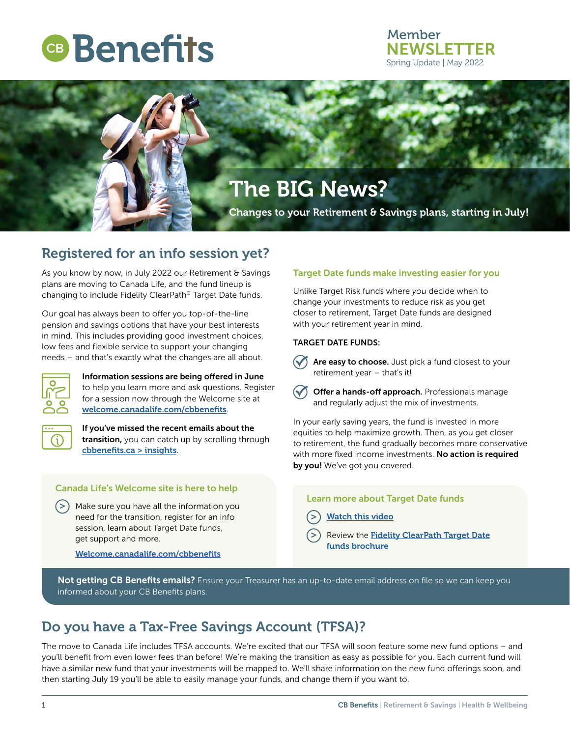# **CB** Benefits

### Member **NEWSLETTER** Spring Update | May 2022



## Registered for an info session yet?

As you know by now, in July 2022 our Retirement & Savings plans are moving to Canada Life, and the fund lineup is changing to include Fidelity ClearPath® Target Date funds.

Our goal has always been to offer you top-of-the-line pension and savings options that have your best interests in mind. This includes providing good investment choices, low fees and flexible service to support your changing needs – and that's exactly what the changes are all about.



Information sessions are being offered in June to help you learn more and ask questions. Register for a session now through the Welcome site at [welcome.canadalife.com/cbbenefits](https://www.welcome.canadalife.com/cbbenefits).



If you've missed the recent emails about the transition, you can catch up by scrolling through [cbbenefits.ca > insights](https://cbbenefits.ca/Insights).

#### Canada Life's Welcome site is here to help

 $(>)$  Make sure you have all the information you need for the transition, register for an info session, learn about Target Date funds, get support and more.

[Welcome.canadalife.com/cbbenefits](http://Welcome.canadalife.com/cbbenefits)

#### Target Date funds make investing easier for you

Unlike Target Risk funds where *you* decide when to change your investments to reduce risk as you get closer to retirement, Target Date funds are designed with your retirement year in mind.

#### TARGET DATE FUNDS:



Are easy to choose. Just pick a fund closest to your retirement year – that's it!

**The Offer a hands-off approach.** Professionals manage and regularly adjust the mix of investments.

In your early saving years, the fund is invested in more equities to help maximize growth. Then, as you get closer to retirement, the fund gradually becomes more conservative with more fixed income investments. No action is required by you! We've got you covered.

#### Learn more about Target Date funds

- **[Watch this video](https://go.fidelity.ca/Target-Date-Strategies-How-they-work---Plan-Member.html)**
- Review the [Fidelity ClearPath Target Date](https://cbbenefits.ca/Content/pdfs/CBBenefits_TargetDateFunds_brochure_EN.pdf) [funds brochure](https://cbbenefits.ca/Content/pdfs/CBBenefits_TargetDateFunds_brochure_EN.pdf)

Not getting CB Benefits emails? Ensure your Treasurer has an up-to-date email address on file so we can keep you informed about your CB Benefits plans.

## Do you have a Tax-Free Savings Account (TFSA)?

The move to Canada Life includes TFSA accounts. We're excited that our TFSA will soon feature some new fund options – and you'll benefit from even lower fees than before! We're making the transition as easy as possible for you. Each current fund will have a similar new fund that your investments will be mapped to. We'll share information on the new fund offerings soon, and then starting July 19 you'll be able to easily manage your funds, and change them if you want to.